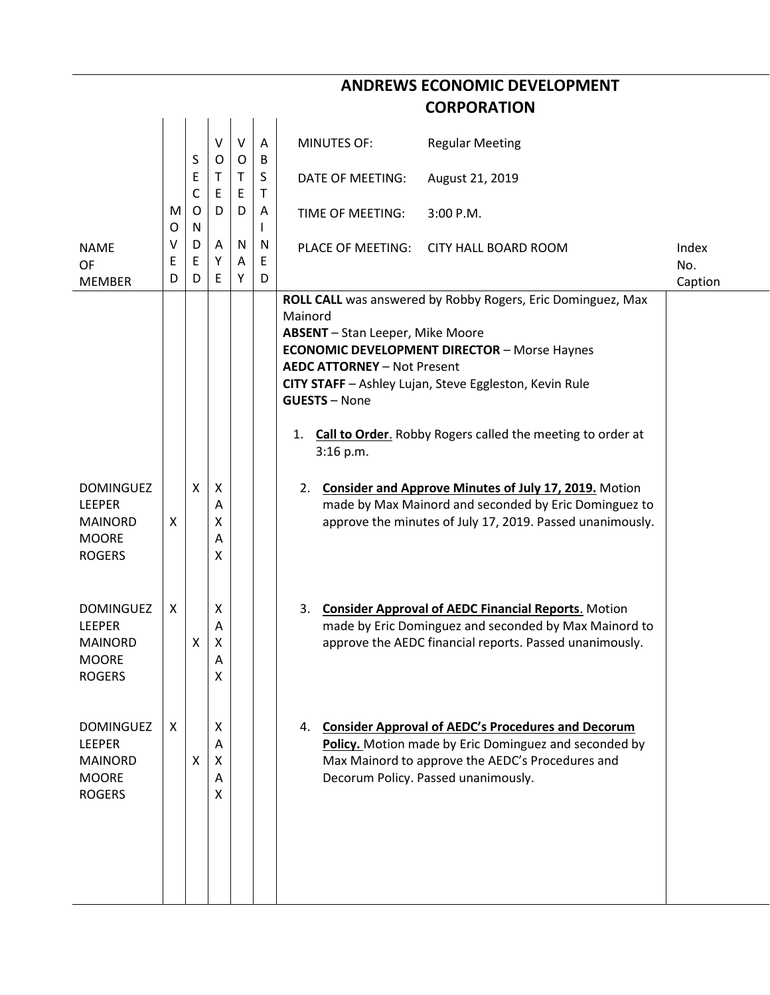|                                                                                      |        |                  |                       |             |                   | <b>CORPORATION</b>                                                                                                                                                                                                                                                                                                                                                                |              |
|--------------------------------------------------------------------------------------|--------|------------------|-----------------------|-------------|-------------------|-----------------------------------------------------------------------------------------------------------------------------------------------------------------------------------------------------------------------------------------------------------------------------------------------------------------------------------------------------------------------------------|--------------|
|                                                                                      |        | S                | V<br>O                | $\vee$<br>O | A<br>B            | <b>MINUTES OF:</b><br><b>Regular Meeting</b>                                                                                                                                                                                                                                                                                                                                      |              |
|                                                                                      |        | Ε<br>$\mathsf C$ | T<br>E                | T.<br>E     | S<br>$\mathsf{T}$ | DATE OF MEETING:<br>August 21, 2019                                                                                                                                                                                                                                                                                                                                               |              |
|                                                                                      | M<br>O | O<br>N           | D                     | D           | Α<br>L            | TIME OF MEETING:<br>3:00 P.M.                                                                                                                                                                                                                                                                                                                                                     |              |
| <b>NAME</b><br>OF                                                                    | ۷<br>Ε | D<br>E           | A<br>Υ                | N<br>A      | N<br>Ε            | PLACE OF MEETING:<br><b>CITY HALL BOARD ROOM</b>                                                                                                                                                                                                                                                                                                                                  | Index<br>No. |
| <b>MEMBER</b>                                                                        | D      | D                | E                     | Υ           | D                 |                                                                                                                                                                                                                                                                                                                                                                                   | Caption      |
|                                                                                      |        |                  |                       |             |                   | ROLL CALL was answered by Robby Rogers, Eric Dominguez, Max<br>Mainord<br>ABSENT - Stan Leeper, Mike Moore<br><b>ECONOMIC DEVELOPMENT DIRECTOR - Morse Haynes</b><br><b>AEDC ATTORNEY - Not Present</b><br>CITY STAFF - Ashley Lujan, Steve Eggleston, Kevin Rule<br><b>GUESTS - None</b><br><b>Call to Order.</b> Robby Rogers called the meeting to order at<br>1.<br>3:16 p.m. |              |
| <b>DOMINGUEZ</b><br><b>LEEPER</b><br><b>MAINORD</b><br><b>MOORE</b><br><b>ROGERS</b> | X      | X                | Χ<br>Α<br>Χ<br>A<br>Χ |             |                   | <b>Consider and Approve Minutes of July 17, 2019.</b> Motion<br>2.<br>made by Max Mainord and seconded by Eric Dominguez to<br>approve the minutes of July 17, 2019. Passed unanimously.                                                                                                                                                                                          |              |
| <b>DOMINGUEZ</b><br><b>LEEPER</b><br><b>MAINORD</b><br>MOORE<br><b>ROGERS</b>        | X      | X                | Χ<br>A<br>Χ<br>А<br>X |             |                   | 3. Consider Approval of AEDC Financial Reports. Motion<br>made by Eric Dominguez and seconded by Max Mainord to<br>approve the AEDC financial reports. Passed unanimously.                                                                                                                                                                                                        |              |
| <b>DOMINGUEZ</b><br><b>LEEPER</b><br><b>MAINORD</b><br><b>MOORE</b><br><b>ROGERS</b> | X      | X                | X<br>A<br>X<br>A<br>X |             |                   | <b>Consider Approval of AEDC's Procedures and Decorum</b><br>4.<br>Policy. Motion made by Eric Dominguez and seconded by<br>Max Mainord to approve the AEDC's Procedures and<br>Decorum Policy. Passed unanimously.                                                                                                                                                               |              |

**ANDREWS ECONOMIC DEVELOPMENT**